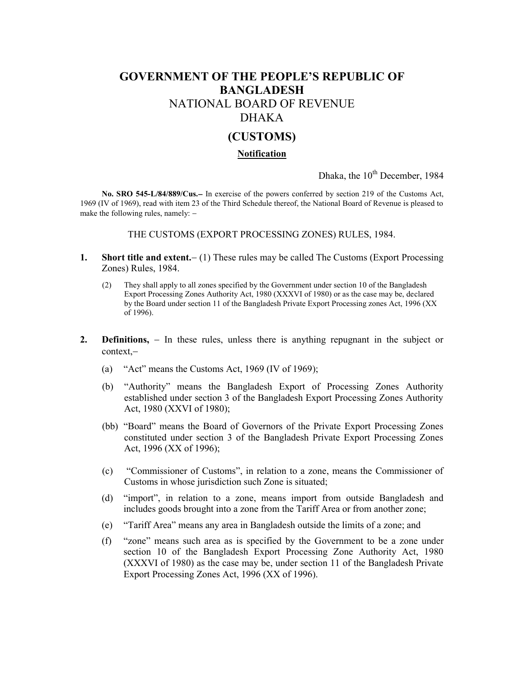## **GOVERNMENT OF THE PEOPLE'S REPUBLIC OF BANGLADESH** NATIONAL BOARD OF REVENUE DHAKA

## **(CUSTOMS)**

## **Notification**

Dhaka, the 10<sup>th</sup> December, 1984

**No. SRO 545-L/84/889/Cus.** In exercise of the powers conferred by section 219 of the Customs Act, 1969 (IV of 1969), read with item 23 of the Third Schedule thereof, the National Board of Revenue is pleased to make the following rules, namely:

THE CUSTOMS (EXPORT PROCESSING ZONES) RULES, 1984.

- **1. Short title and extent.** (1) These rules may be called The Customs (Export Processing Zones) Rules, 1984.
	- (2) They shall apply to all zones specified by the Government under section 10 of the Bangladesh Export Processing Zones Authority Act, 1980 (XXXVI of 1980) or as the case may be, declared by the Board under section 11 of the Bangladesh Private Export Processing zones Act, 1996 (XX of 1996).
- **2. Definitions,** In these rules, unless there is anything repugnant in the subject or context,
	- (a) "Act" means the Customs Act, 1969 (IV of 1969);
	- (b) "Authority" means the Bangladesh Export of Processing Zones Authority established under section 3 of the Bangladesh Export Processing Zones Authority Act, 1980 (XXVI of 1980);
	- (bb) "Board" means the Board of Governors of the Private Export Processing Zones constituted under section 3 of the Bangladesh Private Export Processing Zones Act, 1996 (XX of 1996);
	- (c) "Commissioner of Customs", in relation to a zone, means the Commissioner of Customs in whose jurisdiction such Zone is situated;
	- (d) "import", in relation to a zone, means import from outside Bangladesh and includes goods brought into a zone from the Tariff Area or from another zone;
	- (e) "Tariff Area" means any area in Bangladesh outside the limits of a zone; and
	- (f) "zone" means such area as is specified by the Government to be a zone under section 10 of the Bangladesh Export Processing Zone Authority Act, 1980 (XXXVI of 1980) as the case may be, under section 11 of the Bangladesh Private Export Processing Zones Act, 1996 (XX of 1996).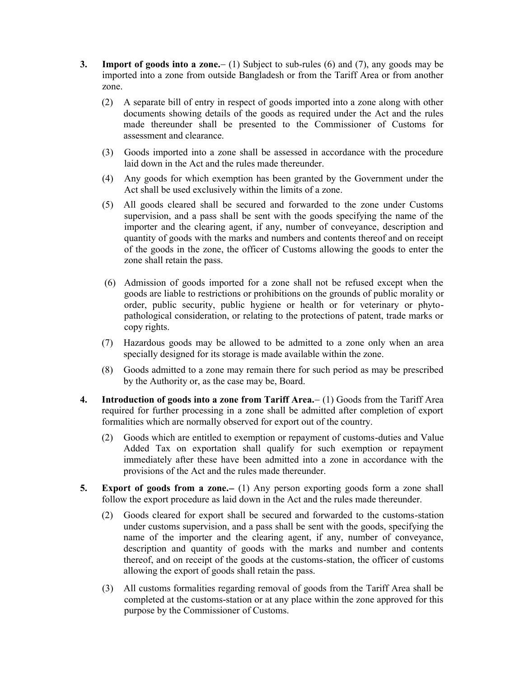- **3. Import of goods into a zone.** (1) Subject to sub-rules (6) and (7), any goods may be imported into a zone from outside Bangladesh or from the Tariff Area or from another zone.
	- (2) A separate bill of entry in respect of goods imported into a zone along with other documents showing details of the goods as required under the Act and the rules made thereunder shall be presented to the Commissioner of Customs for assessment and clearance.
	- (3) Goods imported into a zone shall be assessed in accordance with the procedure laid down in the Act and the rules made thereunder.
	- (4) Any goods for which exemption has been granted by the Government under the Act shall be used exclusively within the limits of a zone.
	- (5) All goods cleared shall be secured and forwarded to the zone under Customs supervision, and a pass shall be sent with the goods specifying the name of the importer and the clearing agent, if any, number of conveyance, description and quantity of goods with the marks and numbers and contents thereof and on receipt of the goods in the zone, the officer of Customs allowing the goods to enter the zone shall retain the pass.
	- (6) Admission of goods imported for a zone shall not be refused except when the goods are liable to restrictions or prohibitions on the grounds of public morality or order, public security, public hygiene or health or for veterinary or phyto pathological consideration, or relating to the protections of patent, trade marks or copy rights.
	- (7) Hazardous goods may be allowed to be admitted to a zone only when an area specially designed for its storage is made available within the zone.
	- (8) Goods admitted to a zone may remain there for such period as may be prescribed by the Authority or, as the case may be, Board.
- 4. **Introduction of goods into a zone from Tariff Area.** (1) Goods from the Tariff Area required for further processing in a zone shall be admitted after completion of export formalities which are normally observed for export out of the country.
	- (2) Goods which are entitled to exemption or repayment of customs-duties and Value Added Tax on exportation shall qualify for such exemption or repayment immediately after these have been admitted into a zone in accordance with the provisions of the Act and the rules made thereunder.
- **5. Export of goods from a zone.** (1) Any person exporting goods form a zone shall follow the export procedure as laid down in the Act and the rules made thereunder.
	- (2) Goods cleared for export shall be secured and forwarded to the customs-station under customs supervision, and a pass shall be sent with the goods, specifying the name of the importer and the clearing agent, if any, number of conveyance, description and quantity of goods with the marks and number and contents thereof, and on receipt of the goods at the customs-station, the officer of customs allowing the export of goods shall retain the pass.
	- (3) All customs formalities regarding removal of goods from the Tariff Area shall be completed at the customs-station or at any place within the zone approved for this purpose by the Commissioner of Customs.